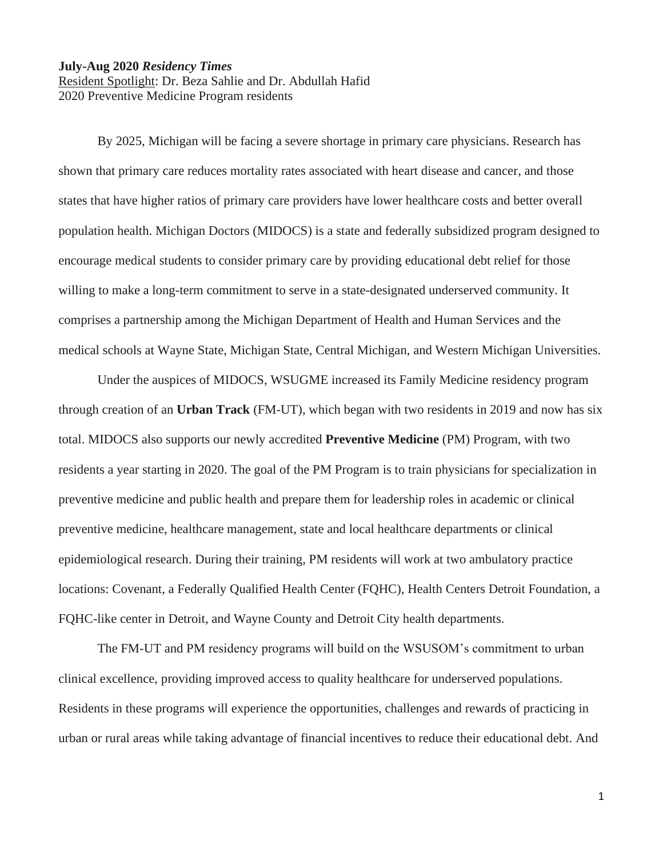## **July-Aug 2020** *Residency Times*

Resident Spotlight: Dr. Beza Sahlie and Dr. Abdullah Hafid 2020 Preventive Medicine Program residents

By 2025, Michigan will be facing a severe shortage in primary care physicians. Research has shown that primary care reduces mortality rates associated with heart disease and cancer, and those states that have higher ratios of primary care providers have lower healthcare costs and better overall population health. Michigan Doctors (MIDOCS) is a state and federally subsidized program designed to encourage medical students to consider primary care by providing educational debt relief for those willing to make a long-term commitment to serve in a state-designated underserved community. It comprises a partnership among the Michigan Department of Health and Human Services and the medical schools at Wayne State, Michigan State, Central Michigan, and Western Michigan Universities.

Under the auspices of MIDOCS, WSUGME increased its Family Medicine residency program through creation of an **Urban Track** (FM-UT), which began with two residents in 2019 and now has six total. MIDOCS also supports our newly accredited **Preventive Medicine** (PM) Program, with two residents a year starting in 2020. The goal of the PM Program is to train physicians for specialization in preventive medicine and public health and prepare them for leadership roles in academic or clinical preventive medicine, healthcare management, state and local healthcare departments or clinical epidemiological research. During their training, PM residents will work at two ambulatory practice locations: Covenant, a Federally Qualified Health Center (FQHC), Health Centers Detroit Foundation, a FQHC-like center in Detroit, and Wayne County and Detroit City health departments.

The FM-UT and PM residency programs will build on the WSUSOM's commitment to urban clinical excellence, providing improved access to quality healthcare for underserved populations. Residents in these programs will experience the opportunities, challenges and rewards of practicing in urban or rural areas while taking advantage of financial incentives to reduce their educational debt. And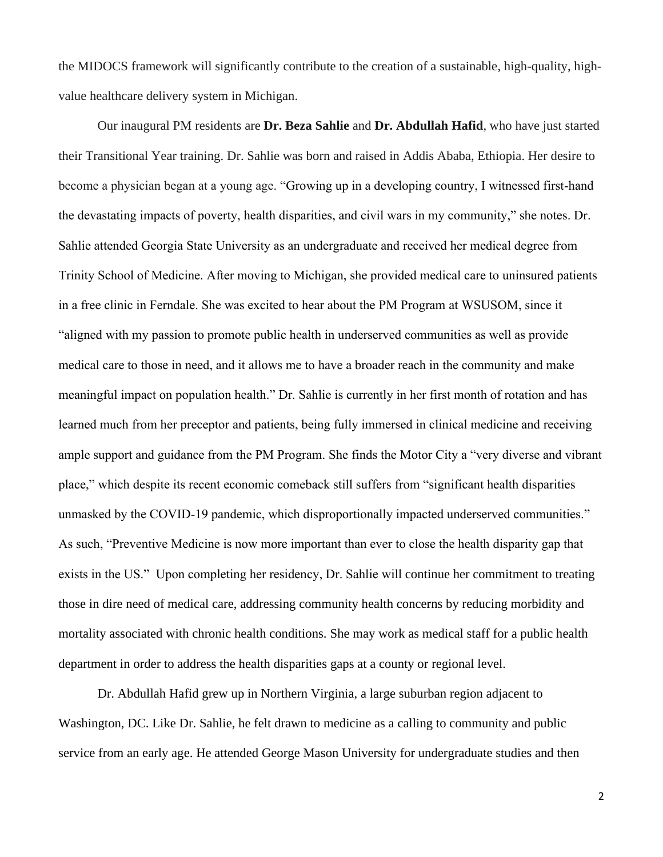the MIDOCS framework will significantly contribute to the creation of a sustainable, high-quality, highvalue healthcare delivery system in Michigan.

Our inaugural PM residents are **Dr. Beza Sahlie** and **Dr. Abdullah Hafid**, who have just started their Transitional Year training. Dr. Sahlie was born and raised in Addis Ababa, Ethiopia. Her desire to become a physician began at a young age. "Growing up in a developing country, I witnessed first-hand the devastating impacts of poverty, health disparities, and civil wars in my community," she notes. Dr. Sahlie attended Georgia State University as an undergraduate and received her medical degree from Trinity School of Medicine. After moving to Michigan, she provided medical care to uninsured patients in a free clinic in Ferndale. She was excited to hear about the PM Program at WSUSOM, since it "aligned with my passion to promote public health in underserved communities as well as provide medical care to those in need, and it allows me to have a broader reach in the community and make meaningful impact on population health." Dr. Sahlie is currently in her first month of rotation and has learned much from her preceptor and patients, being fully immersed in clinical medicine and receiving ample support and guidance from the PM Program. She finds the Motor City a "very diverse and vibrant place," which despite its recent economic comeback still suffers from "significant health disparities unmasked by the COVID-19 pandemic, which disproportionally impacted underserved communities." As such, "Preventive Medicine is now more important than ever to close the health disparity gap that exists in the US." Upon completing her residency, Dr. Sahlie will continue her commitment to treating those in dire need of medical care, addressing community health concerns by reducing morbidity and mortality associated with chronic health conditions. She may work as medical staff for a public health department in order to address the health disparities gaps at a county or regional level.

Dr. Abdullah Hafid grew up in Northern Virginia, a large suburban region adjacent to Washington, DC. Like Dr. Sahlie, he felt drawn to medicine as a calling to community and public service from an early age. He attended George Mason University for undergraduate studies and then